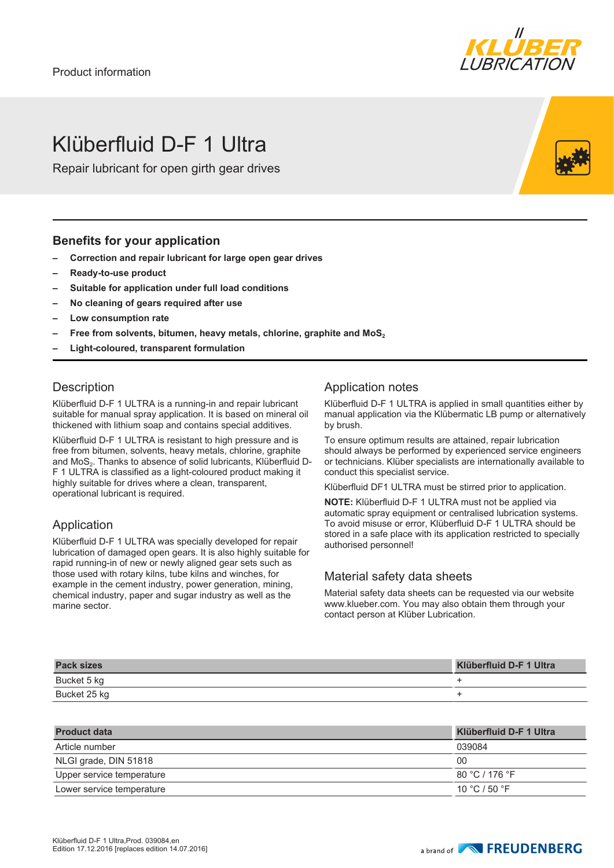

## Klüberfluid D-F 1 Ultra

Repair lubricant for open girth gear drives

#### **Benefits for your application**

- **– Correction and repair lubricant for large open gear drives**
- **– Ready-to-use product**
- **– Suitable for application under full load conditions**
- **– No cleaning of gears required after use**
- **– Low consumption rate**
- **– Free from solvents, bitumen, heavy metals, chlorine, graphite and MoS<sup>2</sup>**
- **– Light-coloured, transparent formulation**

### **Description**

Klüberfluid D-F 1 ULTRA is a running-in and repair lubricant suitable for manual spray application. It is based on mineral oil thickened with lithium soap and contains special additives.

Klüberfluid D-F 1 ULTRA is resistant to high pressure and is free from bitumen, solvents, heavy metals, chlorine, graphite and MoS<sub>2</sub>. Thanks to absence of solid lubricants, Klüberfluid D-F 1 ULTRA is classified as a light-coloured product making it highly suitable for drives where a clean, transparent, operational lubricant is required.

#### Application

Klüberfluid D-F 1 ULTRA was specially developed for repair lubrication of damaged open gears. It is also highly suitable for rapid running-in of new or newly aligned gear sets such as those used with rotary kilns, tube kilns and winches, for example in the cement industry, power generation, mining, chemical industry, paper and sugar industry as well as the marine sector.

### Application notes

Klüberfluid D-F 1 ULTRA is applied in small quantities either by manual application via the Klübermatic LB pump or alternatively by brush.

To ensure optimum results are attained, repair lubrication should always be performed by experienced service engineers or technicians. Klüber specialists are internationally available to conduct this specialist service.

Klüberfluid DF1 ULTRA must be stirred prior to application.

**NOTE:** Klüberfluid D-F 1 ULTRA must not be applied via automatic spray equipment or centralised lubrication systems. To avoid misuse or error, Klüberfluid D-F 1 ULTRA should be stored in a safe place with its application restricted to specially authorised personnel!

#### Material safety data sheets

Material safety data sheets can be requested via our website www.klueber.com. You may also obtain them through your contact person at Klüber Lubrication.

| <b>Pack sizes</b> | <b>Klüberfluid D-F 1 Ultra</b> |
|-------------------|--------------------------------|
| Bucket 5 kg       |                                |
| Bucket 25 kg      |                                |

| <b>Product data</b>       | Klüberfluid D-F 1 Ultra |
|---------------------------|-------------------------|
| Article number            | 039084                  |
| NLGI grade, DIN 51818     | 00                      |
| Upper service temperature | 80 °C / 176 °F          |
| Lower service temperature | 10 °C / 50 °F           |